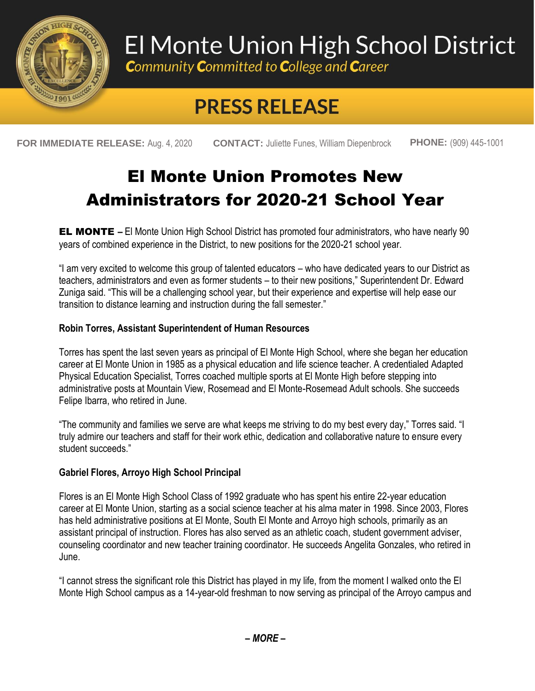

# El Monte Union High School District

**Community Committed to College and Career** 

## **PRESS RELEASE**

**FOR IMMEDIATE RELEASE:** Aug. 4, 2020 **CONTACT:** Juliette Funes, William Diepenbrock **PHONE:** (909) 445-1001

### El Monte Union Promotes New Administrators for 2020-21 School Year

**EL MONTE** – El Monte Union High School District has promoted four administrators, who have nearly 90 years of combined experience in the District, to new positions for the 2020-21 school year.

"I am very excited to welcome this group of talented educators – who have dedicated years to our District as teachers, administrators and even as former students – to their new positions," Superintendent Dr. Edward Zuniga said. "This will be a challenging school year, but their experience and expertise will help ease our transition to distance learning and instruction during the fall semester."

#### **Robin Torres, Assistant Superintendent of Human Resources**

Torres has spent the last seven years as principal of El Monte High School, where she began her education career at El Monte Union in 1985 as a physical education and life science teacher. A credentialed Adapted Physical Education Specialist, Torres coached multiple sports at El Monte High before stepping into administrative posts at Mountain View, Rosemead and El Monte-Rosemead Adult schools. She succeeds Felipe Ibarra, who retired in June.

"The community and families we serve are what keeps me striving to do my best every day," Torres said. "I truly admire our teachers and staff for their work ethic, dedication and collaborative nature to ensure every student succeeds."

### **Gabriel Flores, Arroyo High School Principal**

Flores is an El Monte High School Class of 1992 graduate who has spent his entire 22-year education career at El Monte Union, starting as a social science teacher at his alma mater in 1998. Since 2003, Flores has held administrative positions at El Monte, South El Monte and Arroyo high schools, primarily as an assistant principal of instruction. Flores has also served as an athletic coach, student government adviser, counseling coordinator and new teacher training coordinator. He succeeds Angelita Gonzales, who retired in June.

"I cannot stress the significant role this District has played in my life, from the moment I walked onto the El Monte High School campus as a 14-year-old freshman to now serving as principal of the Arroyo campus and